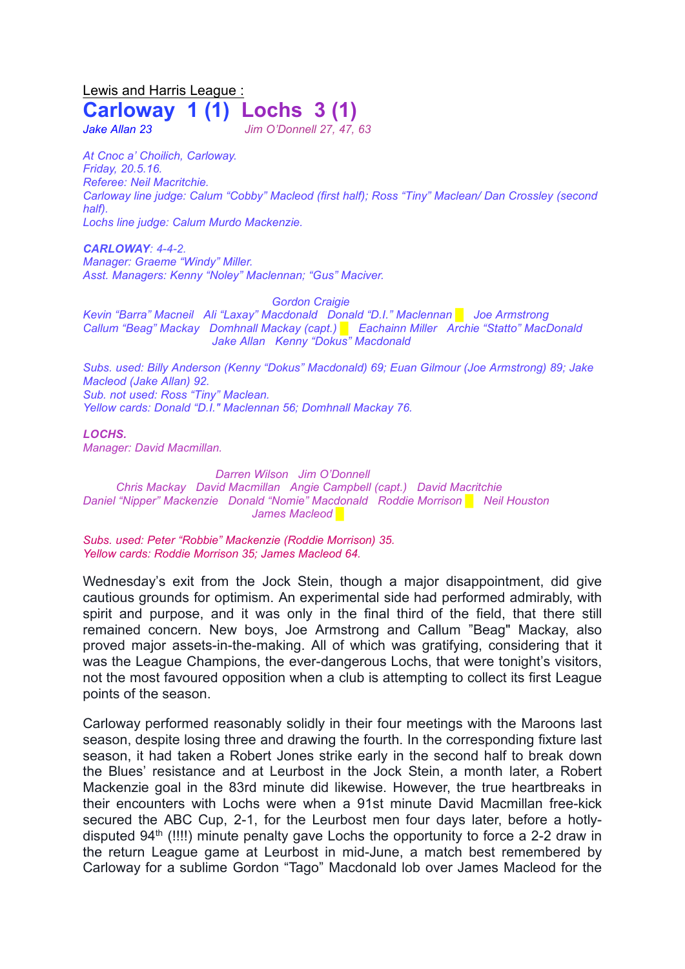## Lewis and Harris League : **Carloway 1 (1) Lochs 3 (1)**

*Jake Allan 23 Jim O'Donnell 27, 47, 63*

*At Cnoc a' Choilich, Carloway. Friday, 20.5.16. Referee: Neil Macritchie. Carloway line judge: Calum "Cobby" Macleod (first half); Ross "Tiny" Maclean/ Dan Crossley (second half). Lochs line judge: Calum Murdo Mackenzie.*

*CARLOWAY: 4-4-2. Manager: Graeme "Windy" Miller. Asst. Managers: Kenny "Noley" Maclennan; "Gus" Maciver.*

*Gordon Craigie*

*Kevin "Barra" Macneil Ali "Laxay" Macdonald Donald "D.I." Maclennan* █ *Joe Armstrong Callum "Beag" Mackay Domhnall Mackay (capt.) █ Eachainn Miller Archie "Statto" MacDonald Jake Allan Kenny "Dokus" Macdonald*

*Subs. used: Billy Anderson (Kenny "Dokus" Macdonald) 69; Euan Gilmour (Joe Armstrong) 89; Jake Macleod (Jake Allan) 92. Sub. not used: Ross "Tiny" Maclean. Yellow cards: Donald "D.I." Maclennan 56; Domhnall Mackay 76.* 

*LOCHS. Manager: David Macmillan.*

*Darren Wilson Jim O'Donnell Chris Mackay David Macmillan Angie Campbell (capt.) David Macritchie Daniel "Nipper" Mackenzie Donald "Nomie" Macdonald Roddie Morrison* █ *Neil Houston James Macleod █*

*Subs. used: Peter "Robbie" Mackenzie (Roddie Morrison) 35. Yellow cards: Roddie Morrison 35; James Macleod 64.* 

Wednesday's exit from the Jock Stein, though a major disappointment, did give cautious grounds for optimism. An experimental side had performed admirably, with spirit and purpose, and it was only in the final third of the field, that there still remained concern. New boys, Joe Armstrong and Callum "Beag" Mackay, also proved major assets-in-the-making. All of which was gratifying, considering that it was the League Champions, the ever-dangerous Lochs, that were tonight's visitors, not the most favoured opposition when a club is attempting to collect its first League points of the season.

Carloway performed reasonably solidly in their four meetings with the Maroons last season, despite losing three and drawing the fourth. In the corresponding fixture last season, it had taken a Robert Jones strike early in the second half to break down the Blues' resistance and at Leurbost in the Jock Stein, a month later, a Robert Mackenzie goal in the 83rd minute did likewise. However, the true heartbreaks in their encounters with Lochs were when a 91st minute David Macmillan free-kick secured the ABC Cup, 2-1, for the Leurbost men four days later, before a hotlydisputed  $94<sup>th</sup>$  (!!!!) minute penalty gave Lochs the opportunity to force a 2-2 draw in the return League game at Leurbost in mid-June, a match best remembered by Carloway for a sublime Gordon "Tago" Macdonald lob over James Macleod for the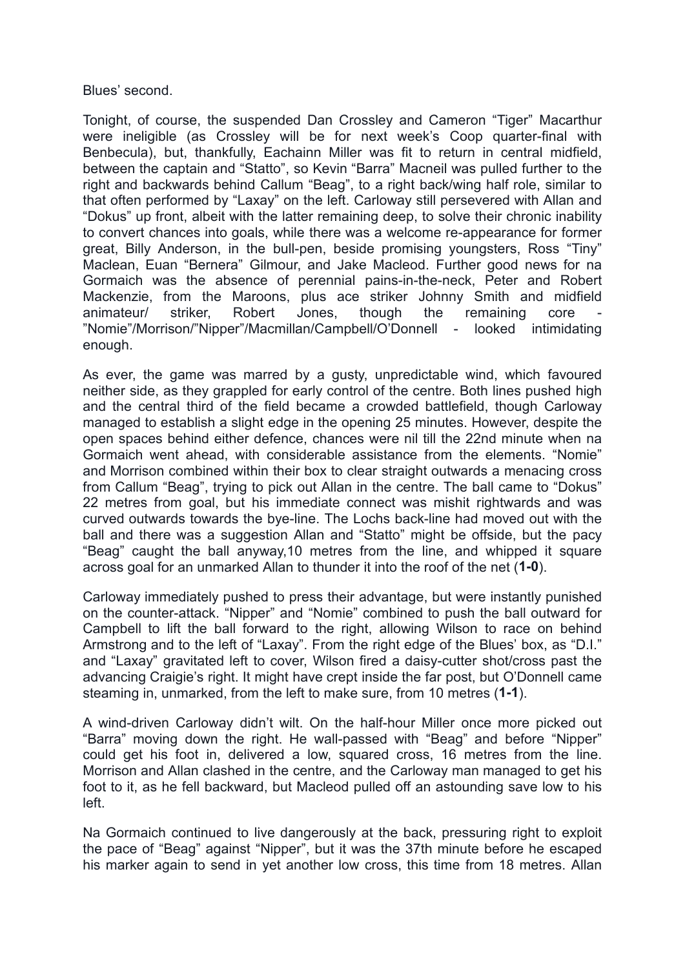Blues' second.

Tonight, of course, the suspended Dan Crossley and Cameron "Tiger" Macarthur were ineligible (as Crossley will be for next week's Coop quarter-final with Benbecula), but, thankfully, Eachainn Miller was fit to return in central midfield, between the captain and "Statto", so Kevin "Barra" Macneil was pulled further to the right and backwards behind Callum "Beag", to a right back/wing half role, similar to that often performed by "Laxay" on the left. Carloway still persevered with Allan and "Dokus" up front, albeit with the latter remaining deep, to solve their chronic inability to convert chances into goals, while there was a welcome re-appearance for former great, Billy Anderson, in the bull-pen, beside promising youngsters, Ross "Tiny" Maclean, Euan "Bernera" Gilmour, and Jake Macleod. Further good news for na Gormaich was the absence of perennial pains-in-the-neck, Peter and Robert Mackenzie, from the Maroons, plus ace striker Johnny Smith and midfield animateur/ striker, Robert Jones, though the remaining core "Nomie"/Morrison/"Nipper"/Macmillan/Campbell/O'Donnell - looked intimidating enough.

As ever, the game was marred by a gusty, unpredictable wind, which favoured neither side, as they grappled for early control of the centre. Both lines pushed high and the central third of the field became a crowded battlefield, though Carloway managed to establish a slight edge in the opening 25 minutes. However, despite the open spaces behind either defence, chances were nil till the 22nd minute when na Gormaich went ahead, with considerable assistance from the elements. "Nomie" and Morrison combined within their box to clear straight outwards a menacing cross from Callum "Beag", trying to pick out Allan in the centre. The ball came to "Dokus" 22 metres from goal, but his immediate connect was mishit rightwards and was curved outwards towards the bye-line. The Lochs back-line had moved out with the ball and there was a suggestion Allan and "Statto" might be offside, but the pacy "Beag" caught the ball anyway,10 metres from the line, and whipped it square across goal for an unmarked Allan to thunder it into the roof of the net (**1-0**).

Carloway immediately pushed to press their advantage, but were instantly punished on the counter-attack. "Nipper" and "Nomie" combined to push the ball outward for Campbell to lift the ball forward to the right, allowing Wilson to race on behind Armstrong and to the left of "Laxay". From the right edge of the Blues' box, as "D.I." and "Laxay" gravitated left to cover, Wilson fired a daisy-cutter shot/cross past the advancing Craigie's right. It might have crept inside the far post, but O'Donnell came steaming in, unmarked, from the left to make sure, from 10 metres (**1-1**).

A wind-driven Carloway didn't wilt. On the half-hour Miller once more picked out "Barra" moving down the right. He wall-passed with "Beag" and before "Nipper" could get his foot in, delivered a low, squared cross, 16 metres from the line. Morrison and Allan clashed in the centre, and the Carloway man managed to get his foot to it, as he fell backward, but Macleod pulled off an astounding save low to his left.

Na Gormaich continued to live dangerously at the back, pressuring right to exploit the pace of "Beag" against "Nipper", but it was the 37th minute before he escaped his marker again to send in yet another low cross, this time from 18 metres. Allan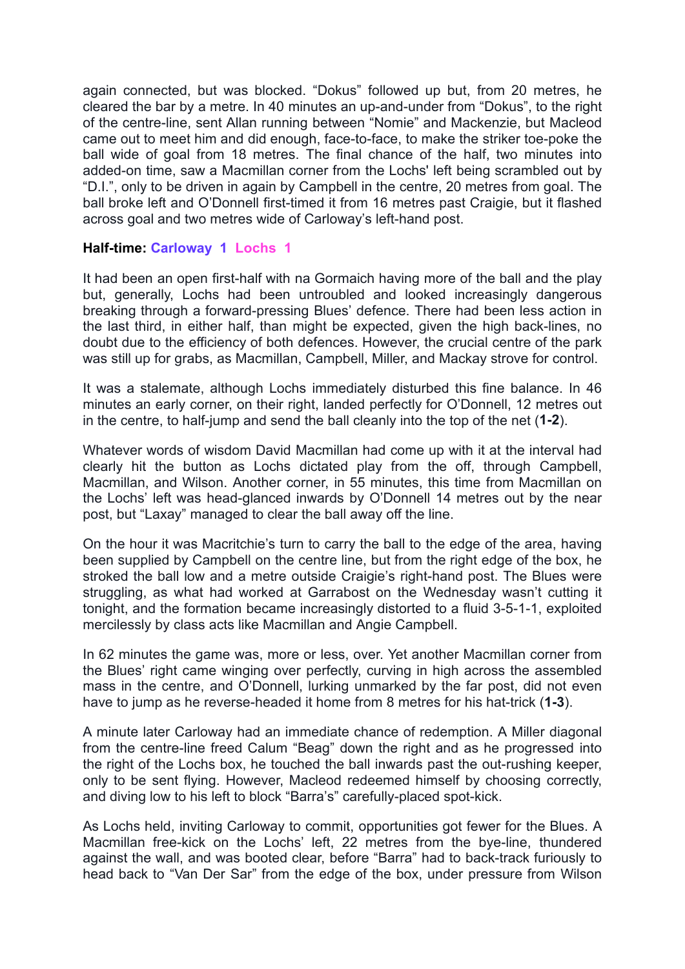again connected, but was blocked. "Dokus" followed up but, from 20 metres, he cleared the bar by a metre. In 40 minutes an up-and-under from "Dokus", to the right of the centre-line, sent Allan running between "Nomie" and Mackenzie, but Macleod came out to meet him and did enough, face-to-face, to make the striker toe-poke the ball wide of goal from 18 metres. The final chance of the half, two minutes into added-on time, saw a Macmillan corner from the Lochs' left being scrambled out by "D.I.", only to be driven in again by Campbell in the centre, 20 metres from goal. The ball broke left and O'Donnell first-timed it from 16 metres past Craigie, but it flashed across goal and two metres wide of Carloway's left-hand post.

## **Half-time: Carloway 1 Lochs 1**

It had been an open first-half with na Gormaich having more of the ball and the play but, generally, Lochs had been untroubled and looked increasingly dangerous breaking through a forward-pressing Blues' defence. There had been less action in the last third, in either half, than might be expected, given the high back-lines, no doubt due to the efficiency of both defences. However, the crucial centre of the park was still up for grabs, as Macmillan, Campbell, Miller, and Mackay strove for control.

It was a stalemate, although Lochs immediately disturbed this fine balance. In 46 minutes an early corner, on their right, landed perfectly for O'Donnell, 12 metres out in the centre, to half-jump and send the ball cleanly into the top of the net (**1-2**).

Whatever words of wisdom David Macmillan had come up with it at the interval had clearly hit the button as Lochs dictated play from the off, through Campbell, Macmillan, and Wilson. Another corner, in 55 minutes, this time from Macmillan on the Lochs' left was head-glanced inwards by O'Donnell 14 metres out by the near post, but "Laxay" managed to clear the ball away off the line.

On the hour it was Macritchie's turn to carry the ball to the edge of the area, having been supplied by Campbell on the centre line, but from the right edge of the box, he stroked the ball low and a metre outside Craigie's right-hand post. The Blues were struggling, as what had worked at Garrabost on the Wednesday wasn't cutting it tonight, and the formation became increasingly distorted to a fluid 3-5-1-1, exploited mercilessly by class acts like Macmillan and Angie Campbell.

In 62 minutes the game was, more or less, over. Yet another Macmillan corner from the Blues' right came winging over perfectly, curving in high across the assembled mass in the centre, and O'Donnell, lurking unmarked by the far post, did not even have to jump as he reverse-headed it home from 8 metres for his hat-trick (**1-3**).

A minute later Carloway had an immediate chance of redemption. A Miller diagonal from the centre-line freed Calum "Beag" down the right and as he progressed into the right of the Lochs box, he touched the ball inwards past the out-rushing keeper, only to be sent flying. However, Macleod redeemed himself by choosing correctly, and diving low to his left to block "Barra's" carefully-placed spot-kick.

As Lochs held, inviting Carloway to commit, opportunities got fewer for the Blues. A Macmillan free-kick on the Lochs' left, 22 metres from the bye-line, thundered against the wall, and was booted clear, before "Barra" had to back-track furiously to head back to "Van Der Sar" from the edge of the box, under pressure from Wilson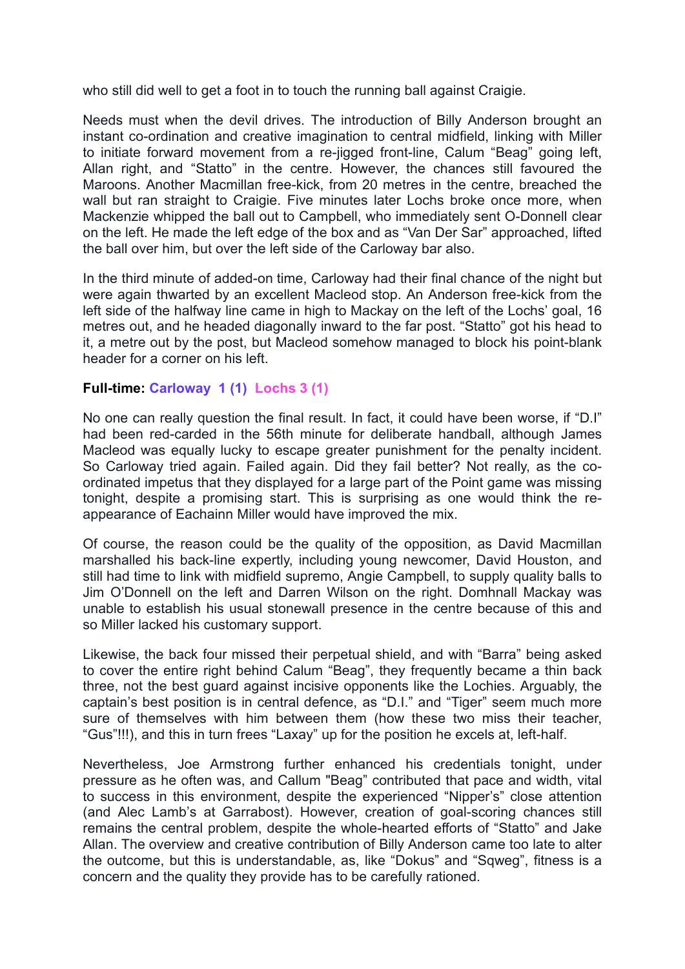who still did well to get a foot in to touch the running ball against Craigie.

Needs must when the devil drives. The introduction of Billy Anderson brought an instant co-ordination and creative imagination to central midfield, linking with Miller to initiate forward movement from a re-jigged front-line, Calum "Beag" going left, Allan right, and "Statto" in the centre. However, the chances still favoured the Maroons. Another Macmillan free-kick, from 20 metres in the centre, breached the wall but ran straight to Craigie. Five minutes later Lochs broke once more, when Mackenzie whipped the ball out to Campbell, who immediately sent O-Donnell clear on the left. He made the left edge of the box and as "Van Der Sar" approached, lifted the ball over him, but over the left side of the Carloway bar also.

In the third minute of added-on time, Carloway had their final chance of the night but were again thwarted by an excellent Macleod stop. An Anderson free-kick from the left side of the halfway line came in high to Mackay on the left of the Lochs' goal, 16 metres out, and he headed diagonally inward to the far post. "Statto" got his head to it, a metre out by the post, but Macleod somehow managed to block his point-blank header for a corner on his left.

## **Full-time: Carloway 1 (1) Lochs 3 (1)**

No one can really question the final result. In fact, it could have been worse, if "D.I" had been red-carded in the 56th minute for deliberate handball, although James Macleod was equally lucky to escape greater punishment for the penalty incident. So Carloway tried again. Failed again. Did they fail better? Not really, as the coordinated impetus that they displayed for a large part of the Point game was missing tonight, despite a promising start. This is surprising as one would think the reappearance of Eachainn Miller would have improved the mix.

Of course, the reason could be the quality of the opposition, as David Macmillan marshalled his back-line expertly, including young newcomer, David Houston, and still had time to link with midfield supremo, Angie Campbell, to supply quality balls to Jim O'Donnell on the left and Darren Wilson on the right. Domhnall Mackay was unable to establish his usual stonewall presence in the centre because of this and so Miller lacked his customary support.

Likewise, the back four missed their perpetual shield, and with "Barra" being asked to cover the entire right behind Calum "Beag", they frequently became a thin back three, not the best guard against incisive opponents like the Lochies. Arguably, the captain's best position is in central defence, as "D.I." and "Tiger" seem much more sure of themselves with him between them (how these two miss their teacher, "Gus"!!!), and this in turn frees "Laxay" up for the position he excels at, left-half.

Nevertheless, Joe Armstrong further enhanced his credentials tonight, under pressure as he often was, and Callum "Beag" contributed that pace and width, vital to success in this environment, despite the experienced "Nipper's" close attention (and Alec Lamb's at Garrabost). However, creation of goal-scoring chances still remains the central problem, despite the whole-hearted efforts of "Statto" and Jake Allan. The overview and creative contribution of Billy Anderson came too late to alter the outcome, but this is understandable, as, like "Dokus" and "Sqweg", fitness is a concern and the quality they provide has to be carefully rationed.